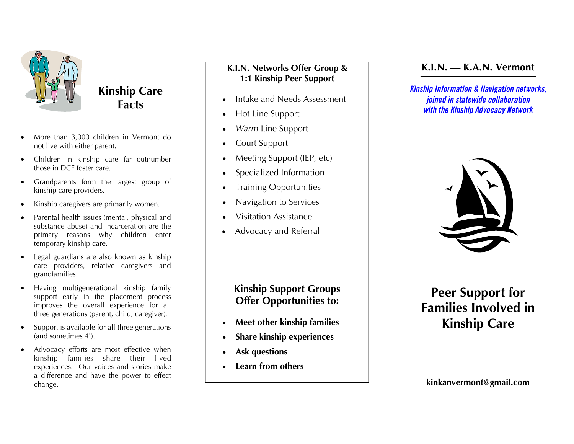

## **Kinship Care Facts**

- $\bullet$  More than 3,000 children in Vermont do not live with either parent.
- $\bullet$  Children in kinship care far outnumber those in DCF foster care.
- $\bullet$  Grandparents form the largest group of kinship care providers.
- $\bullet$ Kinship caregivers are primarily women.
- $\bullet$  Parental health issues (mental, physical and substance abuse) and incarceration are the primary reasons why children enter temporary kinship care.
- $\bullet$  Legal guardians are also known as kinship care providers, relative caregivers and grandfamilies.
- $\bullet$  Having multigenerational kinship family support early in the placement process improves the overall experience for all three generations (parent, child, caregiver)*.*
- $\bullet$  Support is available for all three generations (and sometimes 4!).
- $\bullet$  Advocacy efforts are most effective when kinship families share their lived experiences. Our voices and stories make a difference and have the power to effect change.

### **K.I.N. Networks Offer Group & 1:1 Kinship Peer Support**

- $\bullet$ Intake and Needs Assessment
- $\bullet$ Hot Line Support
- $\bullet$ *Warm* Line Support
- $\bullet$ Court Support
- $\bullet$ Meeting Support (IEP, etc)
- $\bullet$ Specialized Information
- $\bullet$ Training Opportunities
- $\bullet$ Navigation to Services
- $\bullet$ Visitation Assistance
- $\bullet$ Advocacy and Referral

## **Kinship Support Groups Offer Opportunities to:**

- $\bullet$ **Meet other kinship families**
- $\bullet$ **Share kinship experiences**
- $\bullet$ **Ask questions**
- $\bullet$ **Learn from others**

## **K.I.N. — K.A.N. Vermont**

*Kinship Information & Navigation networks, joined in statewide collaboration with the Kinship Advocacy Network* 



## **Peer Support for Families Involved in Kinship Care**

**kinkanvermont@gmail.com**